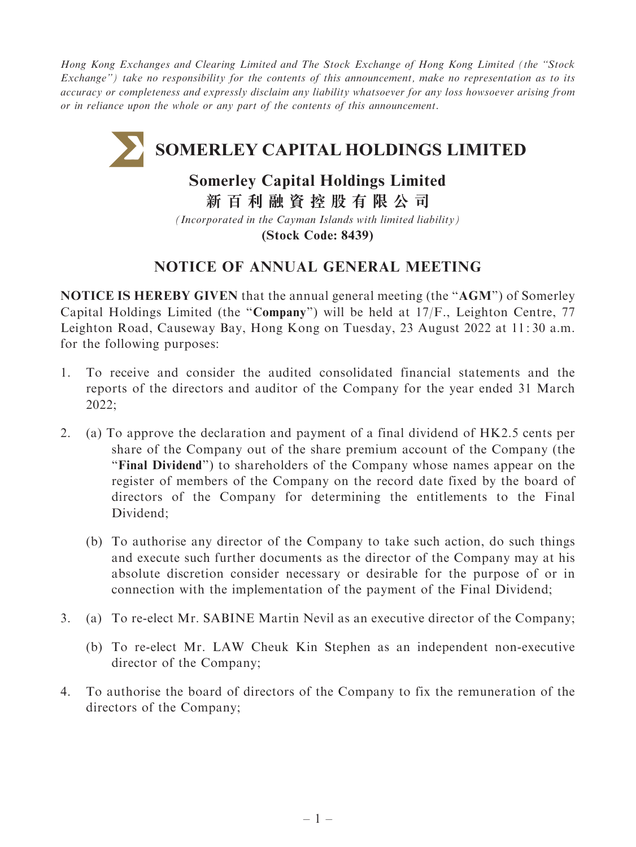Hong Kong Exchanges and Clearing Limited and The Stock Exchange of Hong Kong Limited (the ''Stock Exchange'') take no responsibility for the contents of this announcement, make no representation as to its accuracy or completeness and expressly disclaim any liability whatsoever for any loss howsoever arising from or in reliance upon the whole or any part of the contents of this announcement.

# **SOMERLEY CAPITAL HOLDINGS LIMITED**

## **Somerley Capital Holdings Limited**

**新百利融資控股有限公司**

*(Incorporated in the Cayman Islands with limited liability)* **(Stock Code: 8439)**

### NOTICE OF ANNUAL GENERAL MEETING

NOTICE IS HEREBY GIVEN that the annual general meeting (the ''AGM'') of Somerley Capital Holdings Limited (the ''Company'') will be held at 17/F., Leighton Centre, 77 Leighton Road, Causeway Bay, Hong Kong on Tuesday, 23 August 2022 at 11: 30 a.m. for the following purposes:

- 1. To receive and consider the audited consolidated financial statements and the reports of the directors and auditor of the Company for the year ended 31 March 2022;
- 2. (a) To approve the declaration and payment of a final dividend of HK2.5 cents per share of the Company out of the share premium account of the Company (the "Final Dividend") to shareholders of the Company whose names appear on the register of members of the Company on the record date fixed by the board of directors of the Company for determining the entitlements to the Final Dividend;
	- (b) To authorise any director of the Company to take such action, do such things and execute such further documents as the director of the Company may at his absolute discretion consider necessary or desirable for the purpose of or in connection with the implementation of the payment of the Final Dividend;
- 3. (a) To re-elect Mr. SABINE Martin Nevil as an executive director of the Company;
	- (b) To re-elect Mr. LAW Cheuk Kin Stephen as an independent non-executive director of the Company;
- 4. To authorise the board of directors of the Company to fix the remuneration of the directors of the Company;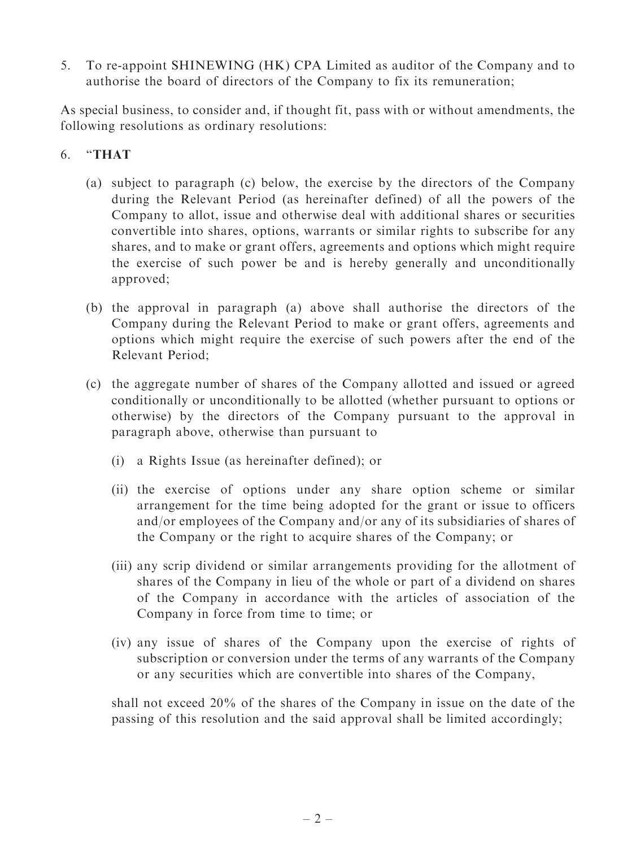5. To re-appoint SHINEWING (HK) CPA Limited as auditor of the Company and to authorise the board of directors of the Company to fix its remuneration;

As special business, to consider and, if thought fit, pass with or without amendments, the following resolutions as ordinary resolutions:

#### 6. ''THAT

- (a) subject to paragraph (c) below, the exercise by the directors of the Company during the Relevant Period (as hereinafter defined) of all the powers of the Company to allot, issue and otherwise deal with additional shares or securities convertible into shares, options, warrants or similar rights to subscribe for any shares, and to make or grant offers, agreements and options which might require the exercise of such power be and is hereby generally and unconditionally approved;
- (b) the approval in paragraph (a) above shall authorise the directors of the Company during the Relevant Period to make or grant offers, agreements and options which might require the exercise of such powers after the end of the Relevant Period;
- (c) the aggregate number of shares of the Company allotted and issued or agreed conditionally or unconditionally to be allotted (whether pursuant to options or otherwise) by the directors of the Company pursuant to the approval in paragraph above, otherwise than pursuant to
	- (i) a Rights Issue (as hereinafter defined); or
	- (ii) the exercise of options under any share option scheme or similar arrangement for the time being adopted for the grant or issue to officers and/or employees of the Company and/or any of its subsidiaries of shares of the Company or the right to acquire shares of the Company; or
	- (iii) any scrip dividend or similar arrangements providing for the allotment of shares of the Company in lieu of the whole or part of a dividend on shares of the Company in accordance with the articles of association of the Company in force from time to time; or
	- (iv) any issue of shares of the Company upon the exercise of rights of subscription or conversion under the terms of any warrants of the Company or any securities which are convertible into shares of the Company,

shall not exceed 20% of the shares of the Company in issue on the date of the passing of this resolution and the said approval shall be limited accordingly;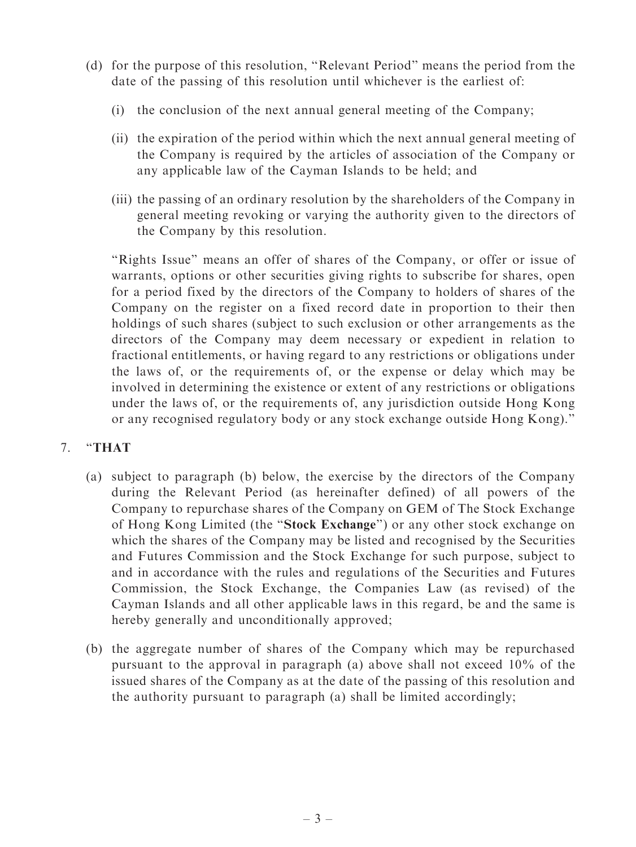- (d) for the purpose of this resolution, ''Relevant Period'' means the period from the date of the passing of this resolution until whichever is the earliest of:
	- (i) the conclusion of the next annual general meeting of the Company;
	- (ii) the expiration of the period within which the next annual general meeting of the Company is required by the articles of association of the Company or any applicable law of the Cayman Islands to be held; and
	- (iii) the passing of an ordinary resolution by the shareholders of the Company in general meeting revoking or varying the authority given to the directors of the Company by this resolution.

''Rights Issue'' means an offer of shares of the Company, or offer or issue of warrants, options or other securities giving rights to subscribe for shares, open for a period fixed by the directors of the Company to holders of shares of the Company on the register on a fixed record date in proportion to their then holdings of such shares (subject to such exclusion or other arrangements as the directors of the Company may deem necessary or expedient in relation to fractional entitlements, or having regard to any restrictions or obligations under the laws of, or the requirements of, or the expense or delay which may be involved in determining the existence or extent of any restrictions or obligations under the laws of, or the requirements of, any jurisdiction outside Hong Kong or any recognised regulatory body or any stock exchange outside Hong Kong).''

#### 7. ''THAT

- (a) subject to paragraph (b) below, the exercise by the directors of the Company during the Relevant Period (as hereinafter defined) of all powers of the Company to repurchase shares of the Company on GEM of The Stock Exchange of Hong Kong Limited (the ''Stock Exchange'') or any other stock exchange on which the shares of the Company may be listed and recognised by the Securities and Futures Commission and the Stock Exchange for such purpose, subject to and in accordance with the rules and regulations of the Securities and Futures Commission, the Stock Exchange, the Companies Law (as revised) of the Cayman Islands and all other applicable laws in this regard, be and the same is hereby generally and unconditionally approved;
- (b) the aggregate number of shares of the Company which may be repurchased pursuant to the approval in paragraph (a) above shall not exceed 10% of the issued shares of the Company as at the date of the passing of this resolution and the authority pursuant to paragraph (a) shall be limited accordingly;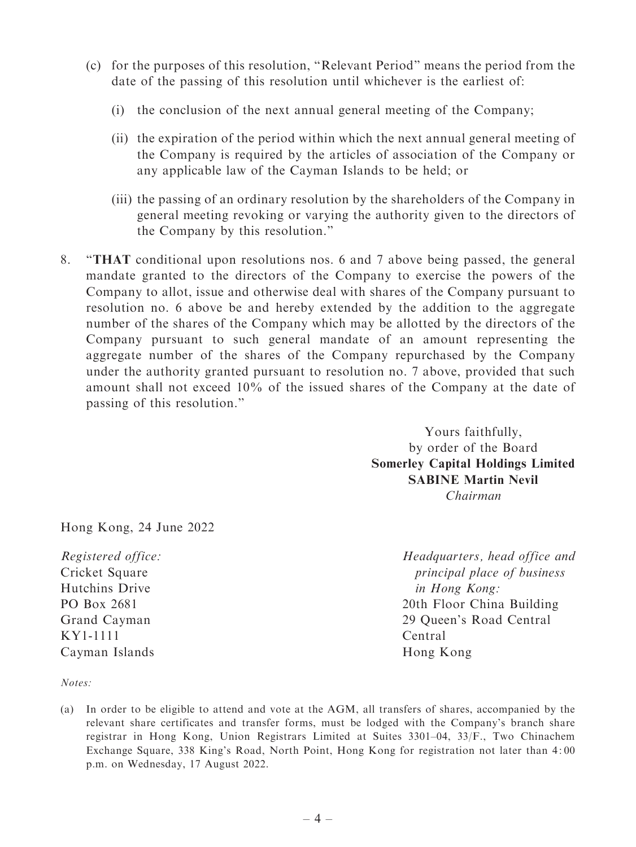- (c) for the purposes of this resolution, ''Relevant Period'' means the period from the date of the passing of this resolution until whichever is the earliest of:
	- (i) the conclusion of the next annual general meeting of the Company;
	- (ii) the expiration of the period within which the next annual general meeting of the Company is required by the articles of association of the Company or any applicable law of the Cayman Islands to be held; or
	- (iii) the passing of an ordinary resolution by the shareholders of the Company in general meeting revoking or varying the authority given to the directors of the Company by this resolution.''
- 8. ''THAT conditional upon resolutions nos. 6 and 7 above being passed, the general mandate granted to the directors of the Company to exercise the powers of the Company to allot, issue and otherwise deal with shares of the Company pursuant to resolution no. 6 above be and hereby extended by the addition to the aggregate number of the shares of the Company which may be allotted by the directors of the Company pursuant to such general mandate of an amount representing the aggregate number of the shares of the Company repurchased by the Company under the authority granted pursuant to resolution no. 7 above, provided that such amount shall not exceed 10% of the issued shares of the Company at the date of passing of this resolution.''

Yours faithfully, by order of the Board Somerley Capital Holdings Limited SABINE Martin Nevil Chairman

Hong Kong, 24 June 2022

Registered office: Cricket Square Hutchins Drive PO Box 2681 Grand Cayman KY1-1111 Cayman Islands

Headquarters, head office and principal place of business in Hong Kong: 20th Floor China Building 29 Queen's Road Central Central Hong Kong

Notes:

(a) In order to be eligible to attend and vote at the AGM, all transfers of shares, accompanied by the relevant share certificates and transfer forms, must be lodged with the Company's branch share registrar in Hong Kong, Union Registrars Limited at Suites 3301–04, 33/F., Two Chinachem Exchange Square, 338 King's Road, North Point, Hong Kong for registration not later than 4: 00 p.m. on Wednesday, 17 August 2022.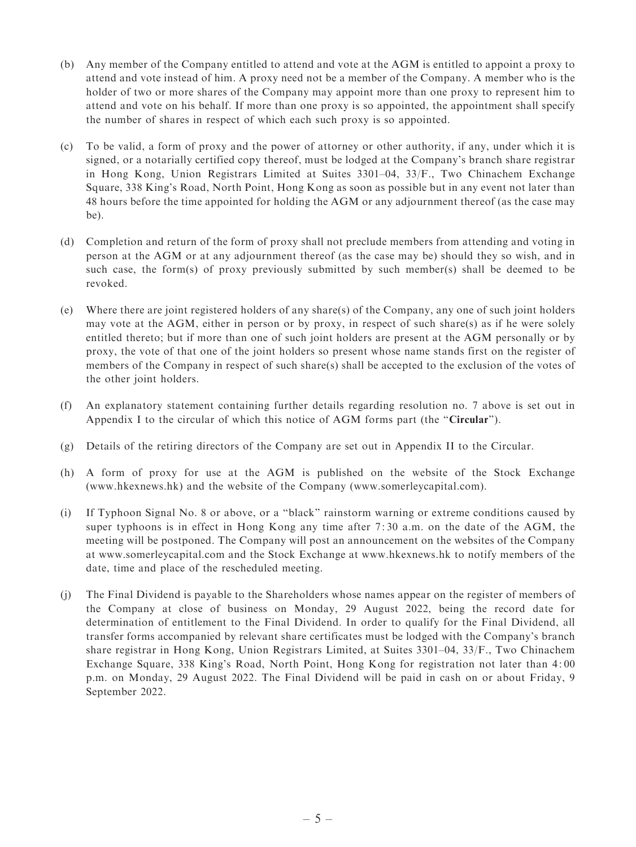- (b) Any member of the Company entitled to attend and vote at the AGM is entitled to appoint a proxy to attend and vote instead of him. A proxy need not be a member of the Company. A member who is the holder of two or more shares of the Company may appoint more than one proxy to represent him to attend and vote on his behalf. If more than one proxy is so appointed, the appointment shall specify the number of shares in respect of which each such proxy is so appointed.
- (c) To be valid, a form of proxy and the power of attorney or other authority, if any, under which it is signed, or a notarially certified copy thereof, must be lodged at the Company's branch share registrar in Hong Kong, Union Registrars Limited at Suites 3301–04, 33/F., Two Chinachem Exchange Square, 338 King's Road, North Point, Hong Kong as soon as possible but in any event not later than 48 hours before the time appointed for holding the AGM or any adjournment thereof (as the case may be).
- (d) Completion and return of the form of proxy shall not preclude members from attending and voting in person at the AGM or at any adjournment thereof (as the case may be) should they so wish, and in such case, the form(s) of proxy previously submitted by such member(s) shall be deemed to be revoked.
- (e) Where there are joint registered holders of any share(s) of the Company, any one of such joint holders may vote at the AGM, either in person or by proxy, in respect of such share(s) as if he were solely entitled thereto; but if more than one of such joint holders are present at the AGM personally or by proxy, the vote of that one of the joint holders so present whose name stands first on the register of members of the Company in respect of such share(s) shall be accepted to the exclusion of the votes of the other joint holders.
- (f) An explanatory statement containing further details regarding resolution no. 7 above is set out in Appendix I to the circular of which this notice of AGM forms part (the "Circular").
- (g) Details of the retiring directors of the Company are set out in Appendix II to the Circular.
- (h) A form of proxy for use at the AGM is published on the website of the Stock Exchange (www.hkexnews.hk) and the website of the Company (www.somerleycapital.com).
- (i) If Typhoon Signal No. 8 or above, or a ''black'' rainstorm warning or extreme conditions caused by super typhoons is in effect in Hong Kong any time after 7: 30 a.m. on the date of the AGM, the meeting will be postponed. The Company will post an announcement on the websites of the Company at www.somerleycapital.com and the Stock Exchange at www.hkexnews.hk to notify members of the date, time and place of the rescheduled meeting.
- (j) The Final Dividend is payable to the Shareholders whose names appear on the register of members of the Company at close of business on Monday, 29 August 2022, being the record date for determination of entitlement to the Final Dividend. In order to qualify for the Final Dividend, all transfer forms accompanied by relevant share certificates must be lodged with the Company's branch share registrar in Hong Kong, Union Registrars Limited, at Suites 3301–04, 33/F., Two Chinachem Exchange Square, 338 King's Road, North Point, Hong Kong for registration not later than 4: 00 p.m. on Monday, 29 August 2022. The Final Dividend will be paid in cash on or about Friday, 9 September 2022.